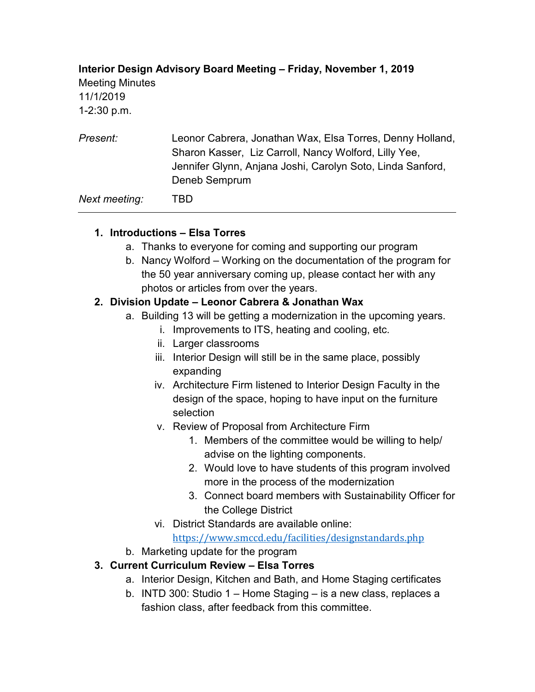## **Interior Design Advisory Board Meeting – Friday, November 1, 2019** Meeting Minutes 11/1/2019 1-2:30 p.m.

*Present:* Leonor Cabrera, Jonathan Wax, Elsa Torres, Denny Holland, Sharon Kasser, Liz Carroll, Nancy Wolford, Lilly Yee, Jennifer Glynn, Anjana Joshi, Carolyn Soto, Linda Sanford, Deneb Semprum

*Next meeting:* TBD

## **1. Introductions – Elsa Torres**

- a. Thanks to everyone for coming and supporting our program
- b. Nancy Wolford Working on the documentation of the program for the 50 year anniversary coming up, please contact her with any photos or articles from over the years.

## **2. Division Update – Leonor Cabrera & Jonathan Wax**

- a. Building 13 will be getting a modernization in the upcoming years.
	- i. Improvements to ITS, heating and cooling, etc.
	- ii. Larger classrooms
	- iii. Interior Design will still be in the same place, possibly expanding
	- iv. Architecture Firm listened to Interior Design Faculty in the design of the space, hoping to have input on the furniture selection
	- v. Review of Proposal from Architecture Firm
		- 1. Members of the committee would be willing to help/ advise on the lighting components.
		- 2. Would love to have students of this program involved more in the process of the modernization
		- 3. Connect board members with Sustainability Officer for the College District
	- vi. District Standards are available online:

<https://www.smccd.edu/facilities/designstandards.php>

b. Marketing update for the program

## **3. Current Curriculum Review – Elsa Torres**

- a. Interior Design, Kitchen and Bath, and Home Staging certificates
- b. INTD 300: Studio 1 Home Staging is a new class, replaces a fashion class, after feedback from this committee.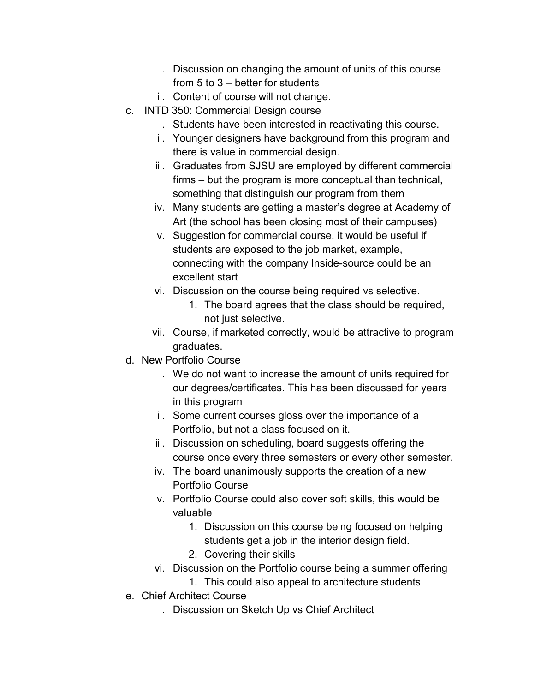- i. Discussion on changing the amount of units of this course from 5 to 3 – better for students
- ii. Content of course will not change.
- c. INTD 350: Commercial Design course
	- i. Students have been interested in reactivating this course.
	- ii. Younger designers have background from this program and there is value in commercial design.
	- iii. Graduates from SJSU are employed by different commercial firms – but the program is more conceptual than technical, something that distinguish our program from them
	- iv. Many students are getting a master's degree at Academy of Art (the school has been closing most of their campuses)
	- v. Suggestion for commercial course, it would be useful if students are exposed to the job market, example, connecting with the company Inside-source could be an excellent start
	- vi. Discussion on the course being required vs selective.
		- 1. The board agrees that the class should be required, not just selective.
	- vii. Course, if marketed correctly, would be attractive to program graduates.
- d. New Portfolio Course
	- i. We do not want to increase the amount of units required for our degrees/certificates. This has been discussed for years in this program
	- ii. Some current courses gloss over the importance of a Portfolio, but not a class focused on it.
	- iii. Discussion on scheduling, board suggests offering the course once every three semesters or every other semester.
	- iv. The board unanimously supports the creation of a new Portfolio Course
	- v. Portfolio Course could also cover soft skills, this would be valuable
		- 1. Discussion on this course being focused on helping students get a job in the interior design field.
		- 2. Covering their skills
	- vi. Discussion on the Portfolio course being a summer offering
		- 1. This could also appeal to architecture students
- e. Chief Architect Course
	- i. Discussion on Sketch Up vs Chief Architect